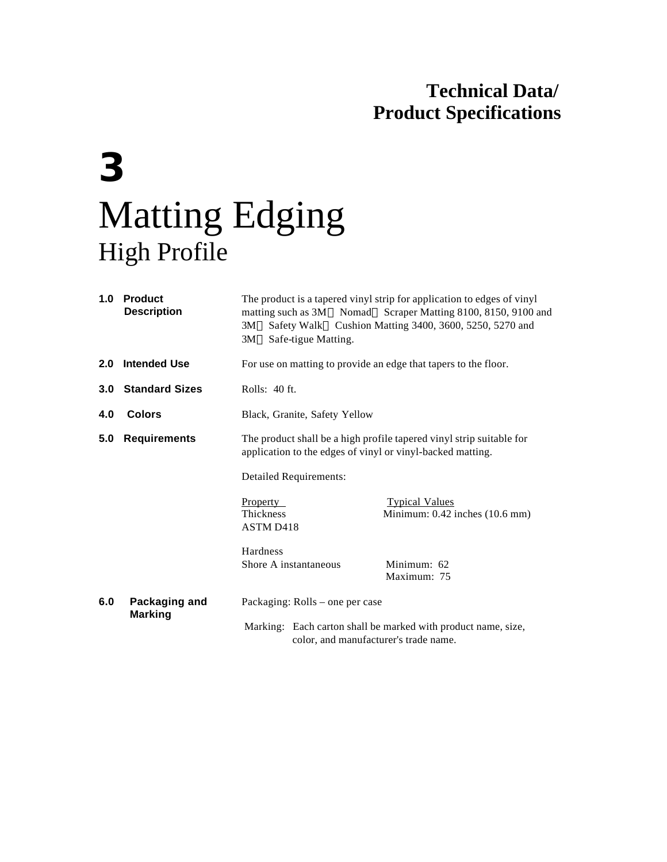## **Technical Data/ Product Specifications**

# **3** Matting Edging High Profile

| 1.0              | <b>Product</b><br><b>Description</b> | The product is a tapered vinyl strip for application to edges of vinyl<br>matting such as 3M™ Nomad™ Scraper Matting 8100, 8150, 9100 and<br>3M™ Safety Walk™ Cushion Matting 3400, 3600, 5250, 5270 and<br>3M™ Safe-tigue Matting. |                                                         |  |
|------------------|--------------------------------------|-------------------------------------------------------------------------------------------------------------------------------------------------------------------------------------------------------------------------------------|---------------------------------------------------------|--|
| 2.0              | <b>Intended Use</b>                  | For use on matting to provide an edge that tapers to the floor.                                                                                                                                                                     |                                                         |  |
| 3.0 <sub>2</sub> | <b>Standard Sizes</b>                | Rolls: 40 ft.                                                                                                                                                                                                                       |                                                         |  |
| 4.0              | <b>Colors</b>                        | Black, Granite, Safety Yellow                                                                                                                                                                                                       |                                                         |  |
| 5.0              | <b>Requirements</b>                  | The product shall be a high profile tapered vinyl strip suitable for<br>application to the edges of vinyl or vinyl-backed matting.                                                                                                  |                                                         |  |
|                  |                                      | <b>Detailed Requirements:</b>                                                                                                                                                                                                       |                                                         |  |
|                  |                                      | <b>Property</b><br><b>Thickness</b><br>ASTM D418                                                                                                                                                                                    | <b>Typical Values</b><br>Minimum: 0.42 inches (10.6 mm) |  |
|                  |                                      | Hardness<br>Shore A instantaneous                                                                                                                                                                                                   | Minimum: 62<br>Maximum: 75                              |  |
| 6.0              | Packaging and<br><b>Marking</b>      | Packaging: Rolls – one per case                                                                                                                                                                                                     |                                                         |  |
|                  |                                      | Marking: Each carton shall be marked with product name, size,<br>color, and manufacturer's trade name.                                                                                                                              |                                                         |  |
|                  |                                      |                                                                                                                                                                                                                                     |                                                         |  |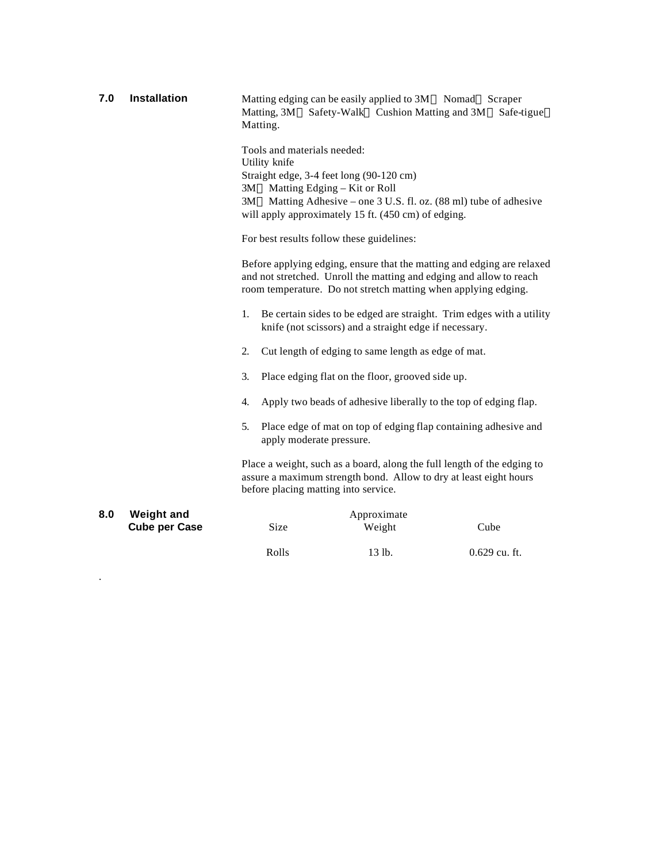| 7.0 | <b>Installation</b>                       | Matting edging can be easily applied to 3M™ Nomad™ Scraper<br>Matting, 3M™ Safety-Walk™ Cushion Matting and 3M™ Safe-tigue™<br>Matting.                                                                                                                                                                |                                                                                                                                |      |  |
|-----|-------------------------------------------|--------------------------------------------------------------------------------------------------------------------------------------------------------------------------------------------------------------------------------------------------------------------------------------------------------|--------------------------------------------------------------------------------------------------------------------------------|------|--|
|     |                                           | Tools and materials needed:<br>Utility knife<br>Straight edge, 3-4 feet long (90-120 cm)<br>3M™ Matting Edging – Kit or Roll<br>3M™ Matting Adhesive – one 3 U.S. fl. oz. (88 ml) tube of adhesive<br>will apply approximately 15 ft. (450 cm) of edging.<br>For best results follow these guidelines: |                                                                                                                                |      |  |
|     |                                           | Before applying edging, ensure that the matting and edging are relaxed<br>and not stretched. Unroll the matting and edging and allow to reach<br>room temperature. Do not stretch matting when applying edging.                                                                                        |                                                                                                                                |      |  |
|     |                                           | 1.                                                                                                                                                                                                                                                                                                     | Be certain sides to be edged are straight. Trim edges with a utility<br>knife (not scissors) and a straight edge if necessary. |      |  |
|     |                                           | $\overline{2}$ .                                                                                                                                                                                                                                                                                       | Cut length of edging to same length as edge of mat.                                                                            |      |  |
|     |                                           | Place edging flat on the floor, grooved side up.<br>3.                                                                                                                                                                                                                                                 |                                                                                                                                |      |  |
|     |                                           | Apply two beads of adhesive liberally to the top of edging flap.<br>4.                                                                                                                                                                                                                                 |                                                                                                                                |      |  |
|     |                                           | Place edge of mat on top of edging flap containing adhesive and<br>5.<br>apply moderate pressure.                                                                                                                                                                                                      |                                                                                                                                |      |  |
|     |                                           | Place a weight, such as a board, along the full length of the edging to<br>assure a maximum strength bond. Allow to dry at least eight hours<br>before placing matting into service.                                                                                                                   |                                                                                                                                |      |  |
| 8.0 | <b>Weight and</b><br><b>Cube per Case</b> | Size                                                                                                                                                                                                                                                                                                   | Approximate<br>Weight                                                                                                          | Cube |  |

.

Rolls 13 lb. 0.629 cu. ft.